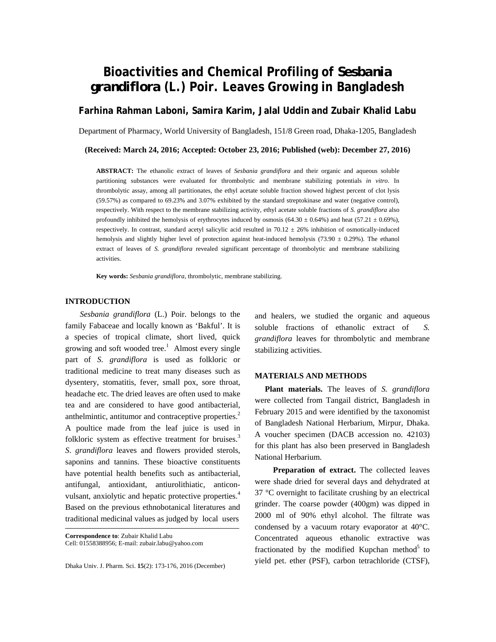# **Bioactivities and Chemical Profiling of** *Sesbania grandiflora* **(L.) Poir. Leaves Growing in Bangladesh**

**Farhina Rahman Laboni, Samira Karim, Jalal Uddin and Zubair Khalid Labu** 

Department of Pharmacy, World University of Bangladesh, 151/8 Green road, Dhaka-1205, Bangladesh

# **(Received: March 24, 2016; Accepted: October 23, 2016; Published (web): December 27, 2016)**

**ABSTRACT:** The ethanolic extract of leaves of *Sesbania grandiflora* and their organic and aqueous soluble partitioning substances were evaluated for thrombolytic and membrane stabilizing potentials *in vitro*. In thrombolytic assay, among all partitionates, the ethyl acetate soluble fraction showed highest percent of clot lysis (59.57%) as compared to 69.23% and 3.07% exhibited by the standard streptokinase and water (negative control), respectively. With respect to the membrane stabilizing activity, ethyl acetate soluble fractions of *S. grandiflora* also profoundly inhibited the hemolysis of erythrocytes induced by osmosis (64.30  $\pm$  0.64%) and heat (57.21  $\pm$  0.69%), respectively. In contrast, standard acetyl salicylic acid resulted in  $70.12 \pm 26\%$  inhibition of osmotically-induced hemolysis and slightly higher level of protection against heat-induced hemolysis (73.90  $\pm$  0.29%). The ethanol extract of leaves of *S. grandiflora* revealed significant percentage of thrombolytic and membrane stabilizing activities.

**Key words:** *Sesbania grandiflora*, thrombolytic, membrane stabilizing.

# **INTRODUCTION**

 *Sesbania grandiflora* (L.) Poir. belongs to the family Fabaceae and locally known as 'Bakful'. It is a species of tropical climate, short lived, quick growing and soft wooded tree.<sup>1</sup> Almost every single part of *S. grandiflora* is used as folkloric or traditional medicine to treat many diseases such as dysentery, stomatitis, fever, small pox, sore throat, headache etc. The dried leaves are often used to make tea and are considered to have good antibacterial, anthelmintic, antitumor and contraceptive properties.<sup>2</sup> A poultice made from the leaf juice is used in folkloric system as effective treatment for bruises.<sup>3</sup> *S*. *grandiflora* leaves and flowers provided sterols, saponins and tannins. These bioactive constituents have potential health benefits such as antibacterial, antifungal, antioxidant, antiurolithiatic, anticonvulsant, anxiolytic and hepatic protective properties.<sup>4</sup> Based on the previous ethnobotanical literatures and traditional medicinal values as judged by local users

**Correspondence to**: Zubair Khalid Labu Cell: 01558388956; E-mail: zubair.labu@yahoo.com

Dhaka Univ. J. Pharm. Sci. **15**(2): 173-176, 2016 (December)

and healers, we studied the organic and aqueous soluble fractions of ethanolic extract of *S. grandiflora* leaves for thrombolytic and membrane stabilizing activities.

#### **MATERIALS AND METHODS**

 **Plant materials.** The leaves of *S. grandiflora*  were collected from Tangail district, Bangladesh in February 2015 and were identified by the taxonomist of Bangladesh National Herbarium, Mirpur, Dhaka. A voucher specimen (DACB accession no. 42103) for this plant has also been preserved in Bangladesh National Herbarium.

 **Preparation of extract.** The collected leaves were shade dried for several days and dehydrated at 37 °C overnight to facilitate crushing by an electrical grinder. The coarse powder (400gm) was dipped in 2000 ml of 90% ethyl alcohol. The filtrate was condensed by a vacuum rotary evaporator at 40°C. Concentrated aqueous ethanolic extractive was fractionated by the modified Kupchan method $5$  to yield pet. ether (PSF), carbon tetrachloride (CTSF),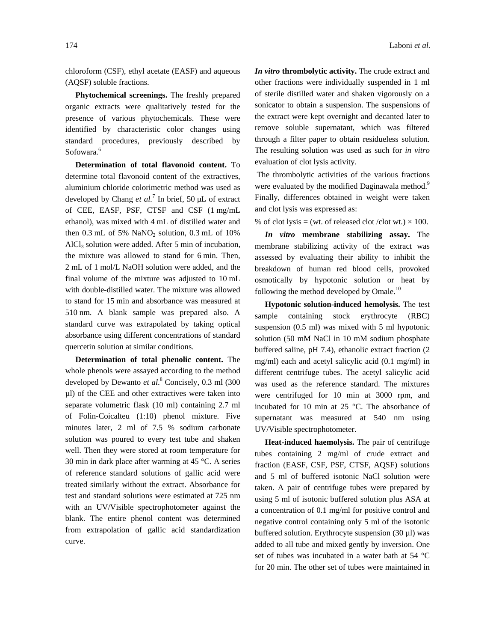chloroform (CSF), ethyl acetate (EASF) and aqueous (AQSF) soluble fractions.

 **Phytochemical screenings.** The freshly prepared organic extracts were qualitatively tested for the presence of various phytochemicals. These were identified by characteristic color changes using standard procedures, previously described by Sofowara.<sup>6</sup>

 **Determination of total flavonoid content.** To determine total flavonoid content of the extractives, aluminium chloride colorimetric method was used as developed by Chang *et al.*<sup>7</sup> In brief, 50 µL of extract of CEE, EASF, PSF, CTSF and CSF (1 mg/mL ethanol), was mixed with 4 mL of distilled water and then  $0.3$  mL of 5% NaNO<sub>2</sub> solution,  $0.3$  mL of  $10\%$ AlCl<sub>3</sub> solution were added. After 5 min of incubation, the mixture was allowed to stand for 6 min. Then, 2 mL of 1 mol/L NaOH solution were added, and the final volume of the mixture was adjusted to 10 mL with double-distilled water. The mixture was allowed to stand for 15 min and absorbance was measured at 510 nm. A blank sample was prepared also. A standard curve was extrapolated by taking optical absorbance using different concentrations of standard quercetin solution at similar conditions.

 **Determination of total phenolic content.** The whole phenols were assayed according to the method developed by Dewanto *et al*. 8 Concisely, 0.3 ml (300 µl) of the CEE and other extractives were taken into separate volumetric flask (10 ml) containing 2.7 ml of Folin-Coicalteu (1:10) phenol mixture. Five minutes later, 2 ml of 7.5 % sodium carbonate solution was poured to every test tube and shaken well. Then they were stored at room temperature for 30 min in dark place after warming at 45 °C. A series of reference standard solutions of gallic acid were treated similarly without the extract. Absorbance for test and standard solutions were estimated at 725 nm with an UV/Visible spectrophotometer against the blank. The entire phenol content was determined from extrapolation of gallic acid standardization curve.

*In vitro* **thrombolytic activity.** The crude extract and other fractions were individually suspended in 1 ml of sterile distilled water and shaken vigorously on a sonicator to obtain a suspension. The suspensions of the extract were kept overnight and decanted later to remove soluble supernatant, which was filtered through a filter paper to obtain residueless solution. The resulting solution was used as such for *in vitro* evaluation of clot lysis activity.

The thrombolytic activities of the various fractions were evaluated by the modified Daginawala method.<sup>9</sup> Finally, differences obtained in weight were taken and clot lysis was expressed as:

% of clot lysis = (wt. of released clot /clot wt.)  $\times$  100.

 *In vitro* **membrane stabilizing assay.** The membrane stabilizing activity of the extract was assessed by evaluating their ability to inhibit the breakdown of human red blood cells, provoked osmotically by hypotonic solution or heat by following the method developed by Omale.<sup>10</sup>

 **Hypotonic solution-induced hemolysis.** The test sample containing stock erythrocyte (RBC) suspension (0.5 ml) was mixed with 5 ml hypotonic solution (50 mM NaCl in 10 mM sodium phosphate buffered saline, pH 7.4), ethanolic extract fraction (2 mg/ml) each and acetyl salicylic acid (0.1 mg/ml) in different centrifuge tubes. The acetyl salicylic acid was used as the reference standard. The mixtures were centrifuged for 10 min at 3000 rpm, and incubated for 10 min at 25 °C. The absorbance of supernatant was measured at 540 nm using UV/Visible spectrophotometer.

 **Heat-induced haemolysis.** The pair of centrifuge tubes containing 2 mg/ml of crude extract and fraction (EASF, CSF, PSF, CTSF, AQSF) solutions and 5 ml of buffered isotonic NaCl solution were taken. A pair of centrifuge tubes were prepared by using 5 ml of isotonic buffered solution plus ASA at a concentration of 0.1 mg/ml for positive control and negative control containing only 5 ml of the isotonic buffered solution. Erythrocyte suspension (30 µl) was added to all tube and mixed gently by inversion. One set of tubes was incubated in a water bath at 54 °C for 20 min. The other set of tubes were maintained in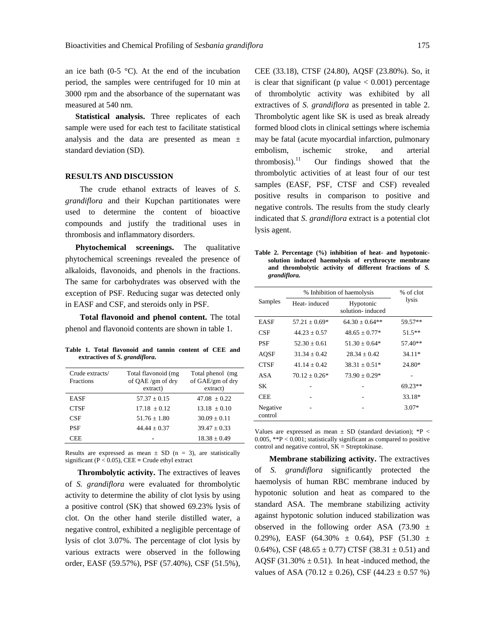an ice bath (0-5  $^{\circ}$ C). At the end of the incubation period, the samples were centrifuged for 10 min at 3000 rpm and the absorbance of the supernatant was measured at 540 nm.

 **Statistical analysis.** Three replicates of each sample were used for each test to facilitate statistical analysis and the data are presented as mean ± standard deviation (SD).

### **RESULTS AND DISCUSSION**

 The crude ethanol extracts of leaves of *S*. *grandiflora* and their Kupchan partitionates were used to determine the content of bioactive compounds and justify the traditional uses in thrombosis and inflammatory disorders.

**Phytochemical screenings.** The qualitative phytochemical screenings revealed the presence of alkaloids, flavonoids, and phenols in the fractions. The same for carbohydrates was observed with the exception of PSF. Reducing sugar was detected only in EASF and CSF, and steroids only in PSF.

 **Total flavonoid and phenol content.** The total phenol and flavonoid contents are shown in table 1.

**Table 1. Total flavonoid and tannin content of CEE and extractives of** *S. grandiflora***.** 

| Crude extracts/<br><b>Fractions</b> | Total flavonoid (mg<br>of QAE /gm of dry<br>extract) | Total phenol (mg)<br>of GAE/gm of dry<br>extract) |
|-------------------------------------|------------------------------------------------------|---------------------------------------------------|
| <b>EASF</b>                         | $57.37 + 0.15$                                       | $47.08 + 0.22$                                    |
| <b>CTSF</b>                         | $17.18 + 0.12$                                       | $13.18 + 0.10$                                    |
| CSF                                 | $51.76 \pm 1.80$                                     | $30.09 \pm 0.11$                                  |
| <b>PSF</b>                          | $44.44 + 0.37$                                       | $39.47 + 0.33$                                    |
| CEE                                 |                                                      | $18.38 + 0.49$                                    |

Results are expressed as mean  $\pm$  SD (n = 3), are statistically significant  $(P < 0.05)$ , CEE = Crude ethyl extract

 **Thrombolytic activity.** The extractives of leaves of *S. grandiflora* were evaluated for thrombolytic activity to determine the ability of clot lysis by using a positive control (SK) that showed 69.23% lysis of clot. On the other hand sterile distilled water, a negative control, exhibited a negligible percentage of lysis of clot 3.07%. The percentage of clot lysis by various extracts were observed in the following order, EASF (59.57%), PSF (57.40%), CSF (51.5%), CEE (33.18), CTSF (24.80), AQSF (23.80%). So, it is clear that significant (p value  $< 0.001$ ) percentage of thrombolytic activity was exhibited by all extractives of *S. grandiflora* as presented in table 2. Thrombolytic agent like SK is used as break already formed blood clots in clinical settings where ischemia may be fatal (acute myocardial infarction, pulmonary embolism, ischemic stroke, and arterial thrombosis). $^{11}$  Our findings showed that the thrombolytic activities of at least four of our test samples (EASF, PSF, CTSF and CSF) revealed positive results in comparison to positive and negative controls. The results from the study clearly indicated that *S. grandiflora* extract is a potential clot lysis agent.

**Table 2. Percentage (%) inhibition of heat- and hypotonicsolution induced haemolysis of erythrocyte membrane and thrombolytic activity of different fractions of** *S. grandiflora.* 

| Samples             | % Inhibition of haemolysis |                               | % of clot |
|---------------------|----------------------------|-------------------------------|-----------|
|                     | Heat-induced               | Hypotonic<br>solution-induced | lysis     |
| EASF                | $57.21 \pm 0.69*$          | $64.30 \pm 0.64$ **           | 59.57**   |
| CSF                 | $44.23 + 0.57$             | $48.65 + 0.77*$               | $51.5***$ |
| PSF                 | $52.30 + 0.61$             | $51.30 + 0.64*$               | 57.40**   |
| AOSF                | $31.34 \pm 0.42$           | $28.34 \pm 0.42$              | 34.11*    |
| <b>CTSF</b>         | $41.14 + 0.42$             | $38.31 \pm 0.51*$             | 24.80*    |
| ASA                 | $70.12 + 0.26*$            | $73.90 + 0.29*$               |           |
| SК                  |                            |                               | $69.23**$ |
| CEE                 |                            |                               | 33.18*    |
| Negative<br>control |                            |                               | $3.07*$   |

Values are expressed as mean  $\pm$  SD (standard deviation); \*P < 0.005,  $*P < 0.001$ ; statistically significant as compared to positive control and negative control, SK = Streptokinase.

 **Membrane stabilizing activity.** The extractives of *S. grandiflora* significantly protected the haemolysis of human RBC membrane induced by hypotonic solution and heat as compared to the standard ASA. The membrane stabilizing activity against hypotonic solution induced stabilization was observed in the following order ASA (73.90  $\pm$ 0.29%), EASF (64.30%  $\pm$  0.64), PSF (51.30  $\pm$ 0.64%), CSF (48.65  $\pm$  0.77) CTSF (38.31  $\pm$  0.51) and AQSF (31.30%  $\pm$  0.51). In heat -induced method, the values of ASA (70.12  $\pm$  0.26), CSF (44.23  $\pm$  0.57 %)